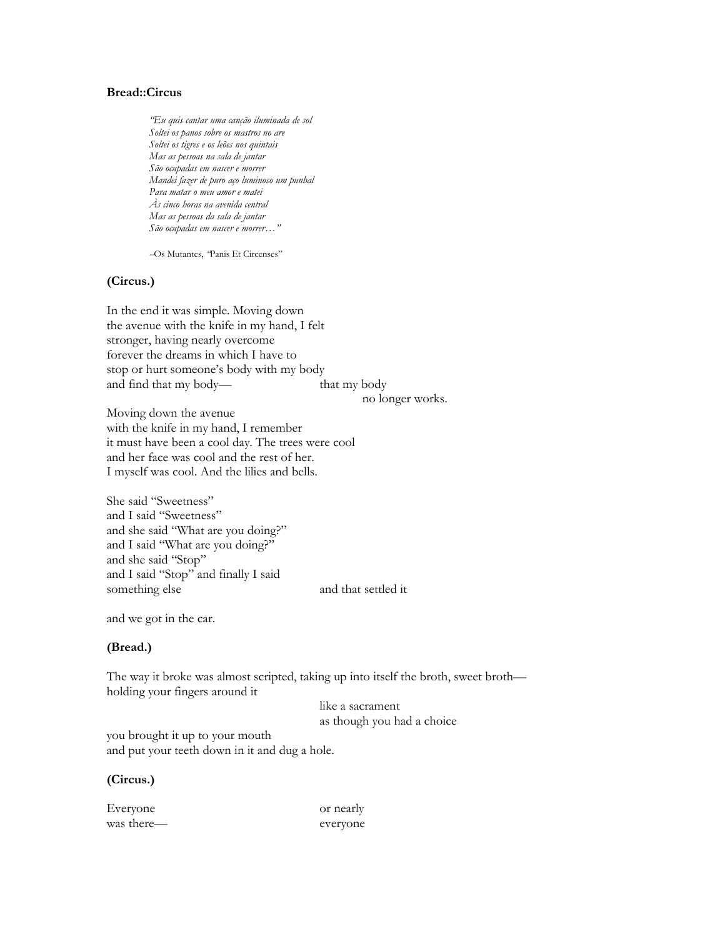## **Bread::Circus**

*"Eu quis cantar uma canção iluminada de sol Soltei os panos sobre os mastros no are Soltei os tigres e os leões nos quintais Mas as pessoas na sala de jantar São ocupadas em nascer e morrer Mandei fazer de puro aço luminoso um punhal Para matar o meu amor e matei Às cinco horas na avenida central Mas as pessoas da sala de jantar São ocupadas em nascer e morrer…"*

*--*Os Mutantes, *"*[Panis Et Circenses](http://www.songmeanings.net/songs/view/3530822107858529225/)"

#### **(Circus.)**

In the end it was simple. Moving down the avenue with the knife in my hand, I felt stronger, having nearly overcome forever the dreams in which I have to stop or hurt someone's body with my body and find that my body— that my body

no longer works.

Moving down the avenue with the knife in my hand, I remember it must have been a cool day. The trees were cool and her face was cool and the rest of her. I myself was cool. And the lilies and bells.

She said "Sweetness" and I said "Sweetness" and she said "What are you doing?" and I said "What are you doing?" and she said "Stop" and I said "Stop" and finally I said something else and that settled it

and we got in the car.

## **(Bread.)**

The way it broke was almost scripted, taking up into itself the broth, sweet broth holding your fingers around it

> like a sacrament as though you had a choice

you brought it up to your mouth and put your teeth down in it and dug a hole.

### **(Circus.)**

Everyone or nearly was there— everyone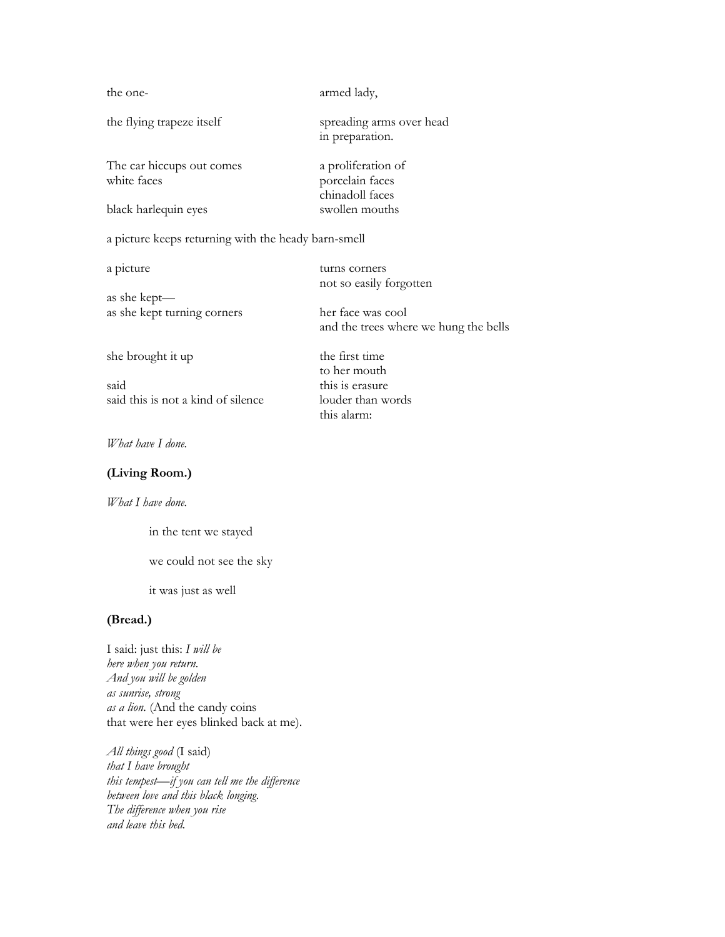| the one-                                            | armed lady,                                              |
|-----------------------------------------------------|----------------------------------------------------------|
| the flying trapeze itself                           | spreading arms over head<br>in preparation.              |
| The car hiccups out comes<br>white faces            | a proliferation of<br>porcelain faces<br>chinadoll faces |
| black harlequin eyes                                | swollen mouths                                           |
| a picture keeps returning with the heady barn-smell |                                                          |

a picture turns corners

as she kept as she kept turning corners her face was cool

said this is erasure said this is not a kind of silence louder than words

and the trees where we hung the bells she brought it up the first time to her mouth

not so easily forgotten

this alarm:

### *What have I done.*

### **(Living Room.)**

### *What I have done.*

in the tent we stayed

we could not see the sky

it was just as well

## **(Bread.)**

I said: just this: *I will be here when you return. And you will be golden as sunrise, strong as a lion.* (And the candy coins that were her eyes blinked back at me).

*All things good* (I said) *that I have brought this tempest—if you can tell me the difference between love and this black longing. The difference when you rise and leave this bed.*